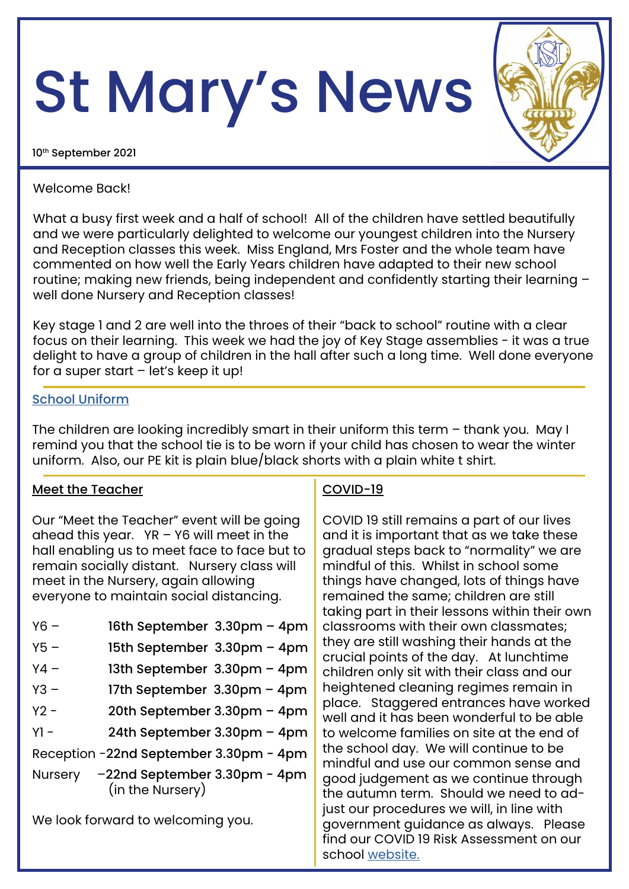# St Mary's News

#### 10th September 2021



### Welcome Back!

What a busy first week and a half of school! All of the children have settled beautifully and we were particularly delighted to welcome our youngest children into the Nursery and Reception classes this week. Miss England, Mrs Foster and the whole team have commented on how well the Early Years children have adapted to their new school routine; making new friends, being independent and confidently starting their learning – well done Nursery and Reception classes!

Key stage 1 and 2 are well into the throes of their "back to school" routine with a clear focus on their learning. This week we had the joy of Key Stage assemblies - it was a true delight to have a group of children in the hall after such a long time. Well done everyone for a super start  $-$  let's keep it up!

## [School Uniform](https://www.stmarystilbury.co.uk/page/?title=Uniform&pid=126)

The children are looking incredibly smart in their uniform this term – thank you. May I remind you that the school tie is to be worn if your child has chosen to wear the winter uniform. Also, our PE kit is plain blue/black shorts with a plain white t shirt.

# Meet the Teacher

Our "Meet the Teacher" event will be going ahead this year.  $YR - Y6$  will meet in the hall enabling us to meet face to face but to remain socially distant. Nursery class will meet in the Nursery, again allowing everyone to maintain social distancing.

- Y6 16th September 3.30pm 4pm
- Y5 15th September 3.30pm 4pm
- Y4 13th September 3.30pm 4pm
- Y3 17th September 3.30pm 4pm
- Y2 20th September 3.30pm 4pm
- Y1 24th September 3.30pm 4pm
- 
- Reception -22nd September 3.30pm 4pm Nursery –22nd September 3.30pm - 4pm

(in the Nursery)

We look forward to welcoming you.

# COVID-19

COVID 19 still remains a part of our lives and it is important that as we take these gradual steps back to "normality" we are mindful of this. Whilst in school some things have changed, lots of things have remained the same; children are still taking part in their lessons within their own classrooms with their own classmates; they are still washing their hands at the crucial points of the day. At lunchtime children only sit with their class and our heightened cleaning regimes remain in place. Staggered entrances have worked well and it has been wonderful to be able to welcome families on site at the end of the school day. We will continue to be mindful and use our common sense and good judgement as we continue through the autumn term. Should we need to adjust our procedures we will, in line with government guidance as always. Please find our COVID 19 Risk Assessment on our school [website.](https://www.stmarystilbury.co.uk/page/?title=Coronavirus&pid=144)